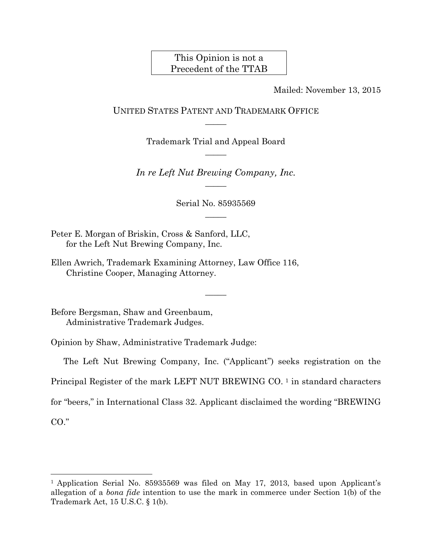# This Opinion is not a Precedent of the TTAB

Mailed: November 13, 2015

UNITED STATES PATENT AND TRADEMARK OFFICE  $\overline{\phantom{a}}$ 

> Trademark Trial and Appeal Board  $\overline{\phantom{a}}$

*In re Left Nut Brewing Company, Inc.*  $\overline{\phantom{a}}$ 

> Serial No. 85935569  $\overline{\phantom{a}}$

> > $\overline{\phantom{a}}$

Peter E. Morgan of Briskin, Cross & Sanford, LLC, for the Left Nut Brewing Company, Inc.

Ellen Awrich, Trademark Examining Attorney, Law Office 116, Christine Cooper, Managing Attorney.

Before Bergsman, Shaw and Greenbaum, Administrative Trademark Judges.

Opinion by Shaw, Administrative Trademark Judge:

The Left Nut Brewing Company, Inc. ("Applicant") seeks registration on the Principal Register of the mark LEFT NUT BREWING CO.<sup>[1](#page-0-0)</sup> in standard characters for "beers," in International Class 32. Applicant disclaimed the wording "BREWING CO."

<span id="page-0-0"></span><sup>&</sup>lt;sup>1</sup> Application Serial No. 85935569 was filed on May 17, 2013, based upon Applicant's allegation of a *bona fide* intention to use the mark in commerce under Section 1(b) of the Trademark Act, 15 U.S.C. § 1(b).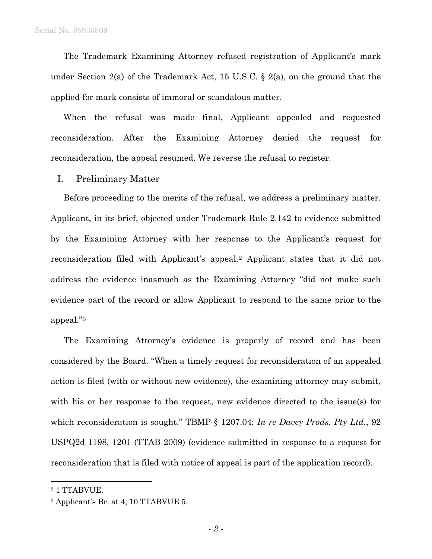The Trademark Examining Attorney refused registration of Applicant's mark under Section 2(a) of the Trademark Act, 15 U.S.C. § 2(a), on the ground that the applied-for mark consists of immoral or scandalous matter.

When the refusal was made final, Applicant appealed and requested reconsideration. After the Examining Attorney denied the request for reconsideration, the appeal resumed. We reverse the refusal to register.

#### I. Preliminary Matter

Before proceeding to the merits of the refusal, we address a preliminary matter. Applicant, in its brief, objected under Trademark Rule 2.142 to evidence submitted by the Examining Attorney with her response to the Applicant's request for reconsideration filed with Applicant's appeal.[2](#page-1-0) Applicant states that it did not address the evidence inasmuch as the Examining Attorney "did not make such evidence part of the record or allow Applicant to respond to the same prior to the appeal."[3](#page-1-1)

The Examining Attorney's evidence is properly of record and has been considered by the Board. "When a timely request for reconsideration of an appealed action is filed (with or without new evidence), the examining attorney may submit, with his or her response to the request, new evidence directed to the issue(s) for which reconsideration is sought." TBMP § 1207.04; *In re Davey Prods. Pty Ltd.*, 92 USPQ2d 1198, 1201 (TTAB 2009) (evidence submitted in response to a request for reconsideration that is filed with notice of appeal is part of the application record).

<span id="page-1-0"></span><sup>&</sup>lt;sup>2</sup> 1 TTABVUE.

<span id="page-1-1"></span><sup>3</sup> Applicant's Br. at 4; 10 TTABVUE 5.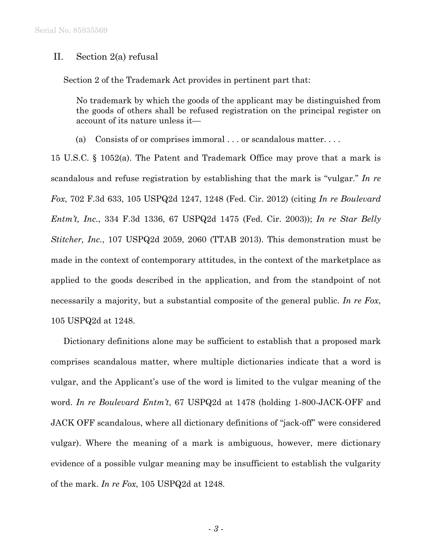### II. Section 2(a) refusal

Section 2 of the Trademark Act provides in pertinent part that:

No trademark by which the goods of the applicant may be distinguished from the goods of others shall be refused registration on the principal register on account of its nature unless it—

(a) Consists of or comprises immoral . . . or scandalous matter. . . .

15 U.S.C. § 1052(a). The Patent and Trademark Office may prove that a mark is scandalous and refuse registration by establishing that the mark is "vulgar." *In re Fox*, 702 F.3d 633, 105 USPQ2d 1247, 1248 (Fed. Cir. 2012) (citing *In re Boulevard Entm't, Inc.*, 334 F.3d 1336, 67 USPQ2d 1475 (Fed. Cir. 2003)); *In re Star Belly Stitcher, Inc.*, 107 USPQ2d 2059, 2060 (TTAB 2013). This demonstration must be made in the context of contemporary attitudes, in the context of the marketplace as applied to the goods described in the application, and from the standpoint of not necessarily a majority, but a substantial composite of the general public. *In re Fox*, 105 USPQ2d at 1248.

Dictionary definitions alone may be sufficient to establish that a proposed mark comprises scandalous matter, where multiple dictionaries indicate that a word is vulgar, and the Applicant's use of the word is limited to the vulgar meaning of the word. *In re Boulevard Entm't*, 67 USPQ2d at 1478 (holding 1-800-JACK-OFF and JACK OFF scandalous, where all dictionary definitions of "jack-off" were considered vulgar). Where the meaning of a mark is ambiguous, however, mere dictionary evidence of a possible vulgar meaning may be insufficient to establish the vulgarity of the mark. *In re Fox*, 105 USPQ2d at 1248.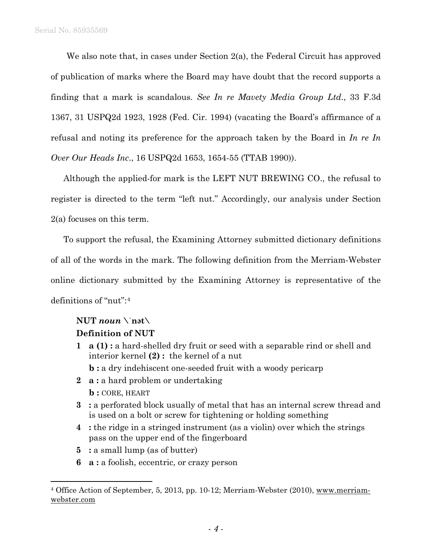We also note that, in cases under Section 2(a), the Federal Circuit has approved of publication of marks where the Board may have doubt that the record supports a finding that a mark is scandalous. *See In re Mavety Media Group Ltd*., 33 F.3d 1367, 31 USPQ2d 1923, 1928 (Fed. Cir. 1994) (vacating the Board's affirmance of a refusal and noting its preference for the approach taken by the Board in *In re In Over Our Heads Inc*., 16 USPQ2d 1653, 1654-55 (TTAB 1990)).

Although the applied-for mark is the LEFT NUT BREWING CO., the refusal to register is directed to the term "left nut." Accordingly, our analysis under Section 2(a) focuses on this term.

To support the refusal, the Examining Attorney submitted dictionary definitions of all of the words in the mark. The following definition from the Merriam-Webster online dictionary submitted by the Examining Attorney is representative of the definitions of "nut":[4](#page-3-0)

## $\text{NUT}$  *noun*  $\text{Y}_{\text{nat}}$

## **Definition of NUT**

- **1 a (1) :** a hard-shelled dry fruit or seed with a separable rind or shell and interior kernel **(2) :** the kernel of a nut **b** : a dry indehiscent one-seeded fruit with a woody pericarp
- **2 a :** a hard problem or undertaking **b :** CORE, HEART
- **3 :** a perforated block usually of metal that has an internal screw thread and is used on a bolt or screw for tightening or holding something
- **4 :** the ridge in a stringed instrument (as a violin) over which the strings pass on the upper end of the fingerboard
- **5 :** a small lump (as of butter)
- **6 a :** a foolish, eccentric, or crazy person

<span id="page-3-0"></span> <sup>4</sup> Office Action of September, 5, 2013, pp. 10-12; Merriam-Webster (2010), www.merriamwebster.com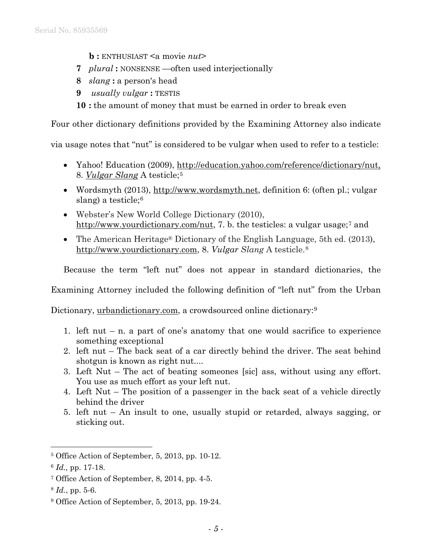- **b :** ENTHUSIAST <a movie *nut*>
- **7** *plural* **:** NONSENSE —often used interjectionally
- **8** *slang* **:** a person's head
- **9** *usually vulgar* **:** TESTIS
- **10 :** the amount of money that must be earned in order to break even

Four other dictionary definitions provided by the Examining Attorney also indicate

via usage notes that "nut" is considered to be vulgar when used to refer to a testicle:

- Yahoo! Education (2009), http://education.yahoo.com/reference/dictionary/nut, 8. *Vulgar Slang* A testicle;[5](#page-4-0)
- Wordsmyth (2013), http://www.wordsmyth.net, definition 6: (often pl.; vulgar slang) a testicle;<sup>[6](#page-4-1)</sup>
- Webster's New World College Dictionary (2010), http://www.yourdictionary.com/nut, [7](#page-4-2). b. the testicles: a vulgar usage;<sup>7</sup> and
- The American Heritage<sup>®</sup> Dictionary of the English Language, 5th ed. (2013), http://www.yourdictionary.com, 8. *Vulgar Slang* A testicle.[8](#page-4-3)

Because the term "left nut" does not appear in standard dictionaries, the

Examining Attorney included the following definition of "left nut" from the Urban

Dictionary, urbandictionary.com, a crowdsourced online dictionary:<sup>[9](#page-4-4)</sup>

- 1. left nut n. a part of one's anatomy that one would sacrifice to experience something exceptional
- 2. left nut The back seat of a car directly behind the driver. The seat behind shotgun is known as right nut....
- 3. Left Nut The act of beating someones [sic] ass, without using any effort. You use as much effort as your left nut.
- 4. Left Nut The position of a passenger in the back seat of a vehicle directly behind the driver
- 5. left nut An insult to one, usually stupid or retarded, always sagging, or sticking out.

<span id="page-4-0"></span> <sup>5</sup> Office Action of September, 5, 2013, pp. 10-12.

<span id="page-4-1"></span><sup>6</sup> *Id.,* pp. 17-18.

<span id="page-4-2"></span><sup>7</sup> Office Action of September, 8, 2014, pp. 4-5.

<span id="page-4-3"></span><sup>8</sup> *Id.*, pp. 5-6.

<span id="page-4-4"></span><sup>9</sup> Office Action of September, 5, 2013, pp. 19-24.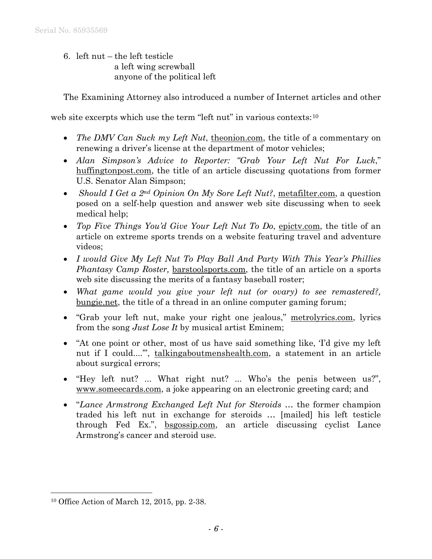6. left nut – the left testicle a left wing screwball anyone of the political left

The Examining Attorney also introduced a number of Internet articles and other

web site excerpts which use the term "left nut" in various contexts:<sup>[10](#page-5-0)</sup>

- *The DMV Can Suck my Left Nut*, theonion.com, the title of a commentary on renewing a driver's license at the department of motor vehicles;
- *Alan Simpson's Advice to Reporter: "Grab Your Left Nut For Luck*," huffingtonpost.com, the title of an article discussing quotations from former U.S. Senator Alan Simpson;
- *Should I Get a 2<sup>nd</sup> Opinion On My Sore Left Nut?*, metafilter.com, a question posed on a self-help question and answer web site discussing when to seek medical help;
- *Top Five Things You'd Give Your Left Nut To Do*, epictv.com, the title of an article on extreme sports trends on a website featuring travel and adventure videos;
- *I would Give My Left Nut To Play Ball And Party With This Year's Phillies Phantasy Camp Roster,* barstoolsports.com, the title of an article on a sports web site discussing the merits of a fantasy baseball roster;
- *What game would you give your left nut (or ovary) to see remastered?,*  bungie.net, the title of a thread in an online computer gaming forum;
- "Grab your left nut, make your right one jealous," metrolyrics.com, lyrics from the song *Just Lose It* by musical artist Eminem;
- "At one point or other, most of us have said something like, 'I'd give my left nut if I could...."", talkingaboutmenshealth.com, a statement in an article about surgical errors;
- "Hey left nut? ... What right nut? ... Who's the penis between us?", www.someecards.com, a joke appearing on an electronic greeting card; and
- "*Lance Armstrong Exchanged Left Nut for Steroids* … the former champion traded his left nut in exchange for steroids … [mailed] his left testicle through Fed Ex.", bsgossip.com, an article discussing cyclist Lance Armstrong's cancer and steroid use.

<span id="page-5-0"></span> <sup>10</sup> Office Action of March 12, 2015, pp. 2-38.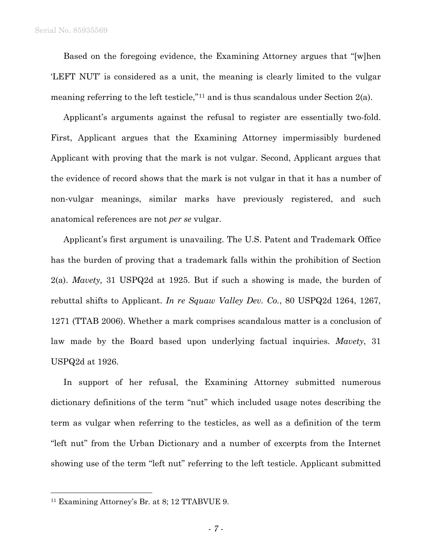Based on the foregoing evidence, the Examining Attorney argues that "[w]hen 'LEFT NUT' is considered as a unit, the meaning is clearly limited to the vulgar meaning referring to the left testicle,"[11](#page-6-0) and is thus scandalous under Section 2(a).

Applicant's arguments against the refusal to register are essentially two-fold. First, Applicant argues that the Examining Attorney impermissibly burdened Applicant with proving that the mark is not vulgar. Second, Applicant argues that the evidence of record shows that the mark is not vulgar in that it has a number of non-vulgar meanings, similar marks have previously registered, and such anatomical references are not *per se* vulgar.

Applicant's first argument is unavailing. The U.S. Patent and Trademark Office has the burden of proving that a trademark falls within the prohibition of Section 2(a). *Mavety,* 31 USPQ2d at 1925. But if such a showing is made, the burden of rebuttal shifts to Applicant. *In re Squaw Valley Dev. Co.*, 80 USPQ2d 1264, 1267, 1271 (TTAB 2006). Whether a mark comprises scandalous matter is a conclusion of law made by the Board based upon underlying factual inquiries. *Mavety*, 31 USPQ2d at 1926.

In support of her refusal, the Examining Attorney submitted numerous dictionary definitions of the term "nut" which included usage notes describing the term as vulgar when referring to the testicles, as well as a definition of the term "left nut" from the Urban Dictionary and a number of excerpts from the Internet showing use of the term "left nut" referring to the left testicle. Applicant submitted

<span id="page-6-0"></span> <sup>11</sup> Examining Attorney's Br. at 8; 12 TTABVUE 9.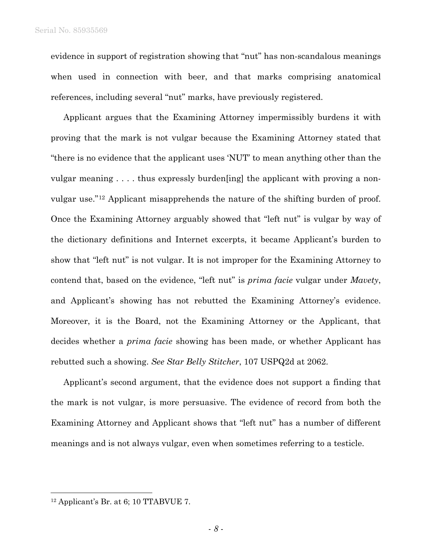evidence in support of registration showing that "nut" has non-scandalous meanings when used in connection with beer, and that marks comprising anatomical references, including several "nut" marks, have previously registered.

Applicant argues that the Examining Attorney impermissibly burdens it with proving that the mark is not vulgar because the Examining Attorney stated that "there is no evidence that the applicant uses 'NUT' to mean anything other than the vulgar meaning . . . . thus expressly burden[ing] the applicant with proving a nonvulgar use."[12](#page-7-0) Applicant misapprehends the nature of the shifting burden of proof. Once the Examining Attorney arguably showed that "left nut" is vulgar by way of the dictionary definitions and Internet excerpts, it became Applicant's burden to show that "left nut" is not vulgar. It is not improper for the Examining Attorney to contend that, based on the evidence, "left nut" is *prima facie* vulgar under *Mavety*, and Applicant's showing has not rebutted the Examining Attorney's evidence. Moreover, it is the Board, not the Examining Attorney or the Applicant, that decides whether a *prima facie* showing has been made, or whether Applicant has rebutted such a showing. *See Star Belly Stitcher*, 107 USPQ2d at 2062.

Applicant's second argument, that the evidence does not support a finding that the mark is not vulgar, is more persuasive. The evidence of record from both the Examining Attorney and Applicant shows that "left nut" has a number of different meanings and is not always vulgar, even when sometimes referring to a testicle.

<span id="page-7-0"></span> $12$  Applicant's Br. at 6; 10 TTABVUE 7.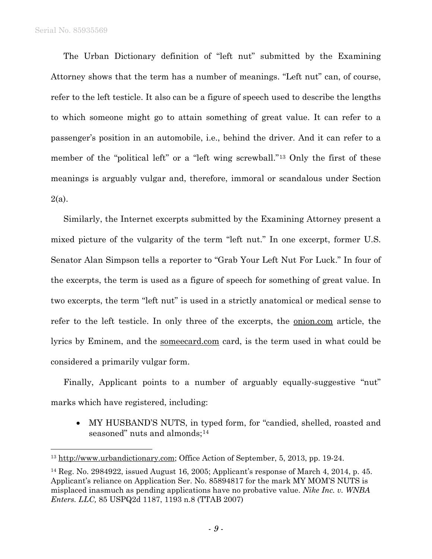The Urban Dictionary definition of "left nut" submitted by the Examining Attorney shows that the term has a number of meanings. "Left nut" can, of course, refer to the left testicle. It also can be a figure of speech used to describe the lengths to which someone might go to attain something of great value. It can refer to a passenger's position in an automobile, i.e., behind the driver. And it can refer to a member of the "political left" or a "left wing screwball."[13](#page-8-0) Only the first of these meanings is arguably vulgar and, therefore, immoral or scandalous under Section 2(a).

Similarly, the Internet excerpts submitted by the Examining Attorney present a mixed picture of the vulgarity of the term "left nut." In one excerpt, former U.S. Senator Alan Simpson tells a reporter to "Grab Your Left Nut For Luck." In four of the excerpts, the term is used as a figure of speech for something of great value. In two excerpts, the term "left nut" is used in a strictly anatomical or medical sense to refer to the left testicle. In only three of the excerpts, the onion.com article, the lyrics by Eminem, and the someecard.com card, is the term used in what could be considered a primarily vulgar form.

Finally, Applicant points to a number of arguably equally-suggestive "nut" marks which have registered, including:

• MY HUSBAND'S NUTS, in typed form, for "candied, shelled, roasted and seasoned" nuts and almonds;<sup>[14](#page-8-1)</sup>

<span id="page-8-0"></span><sup>&</sup>lt;sup>13</sup> http://www.urbandictionary.com; Office Action of September, 5, 2013, pp. 19-24.

<span id="page-8-1"></span><sup>14</sup> Reg. No. 2984922, issued August 16, 2005; Applicant's response of March 4, 2014, p. 45. Applicant's reliance on Application Ser. No. 85894817 for the mark MY MOM'S NUTS is misplaced inasmuch as pending applications have no probative value. *Nike Inc. v. WNBA Enters. LLC,* 85 USPQ2d 1187, 1193 n.8 (TTAB 2007)